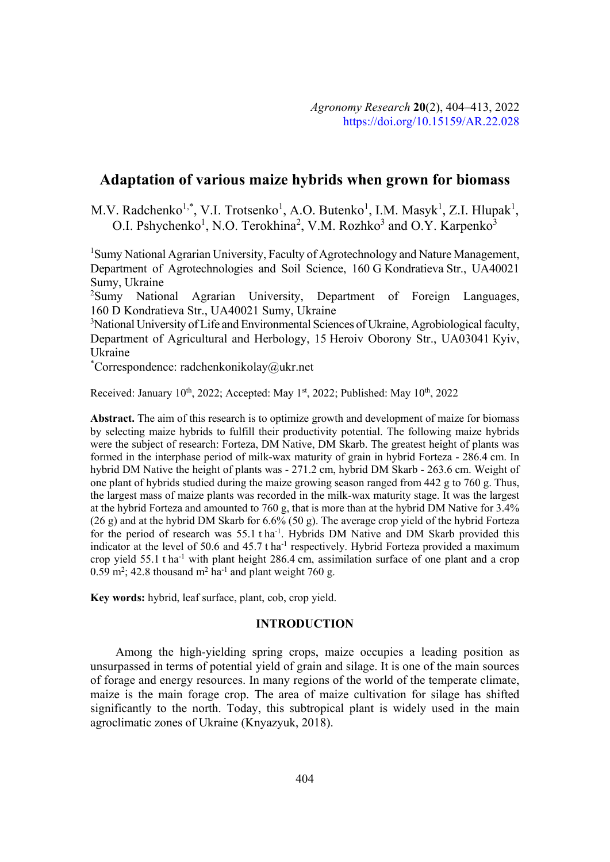# **Adaptation of various maize hybrids when grown for biomass**

M.V. Radchenko<sup>1,\*</sup>, V.I. Trotsenko<sup>1</sup>, A.O. Butenko<sup>1</sup>, I.M. Masyk<sup>1</sup>, Z.I. Hlupak<sup>1</sup>, O.I. Pshychenko<sup>1</sup>, N.O. Terokhina<sup>2</sup>, V.M. Rozhko<sup>3</sup> and O.Y. Karpenko<sup>3</sup>

<sup>1</sup>Sumy National Agrarian University, Faculty of Agrotechnology and Nature Management, Department of Agrotechnologies and Soil Science, 160 G Kondratieva Str., UA40021 Sumy, Ukraine

<sup>2</sup>Sumy National Agrarian University, Department of Foreign Languages, 160 D Kondratieva Str., UA40021 Sumy, Ukraine

<sup>3</sup>National University of Life and Environmental Sciences of Ukraine, Agrobiological faculty, Department of Agricultural and Herbology, 15 Heroiv Oborony Str., UA03041 Kyiv, Ukraine

\* Correspondence: radchenkonikolay@ukr.net

Received: January  $10^{th}$ , 2022; Accepted: May  $1^{st}$ , 2022; Published: May  $10^{th}$ , 2022

**Abstract.** The aim of this research is to optimize growth and development of maize for biomass by selecting maize hybrids to fulfill their productivity potential. The following maize hybrids were the subject of research: Forteza, DM Native, DM Skarb. The greatest height of plants was formed in the interphase period of milk-wax maturity of grain in hybrid Forteza - 286.4 cm. In hybrid DM Native the height of plants was - 271.2 cm, hybrid DM Skarb - 263.6 cm. Weight of one plant of hybrids studied during the maize growing season ranged from 442 g to 760 g. Thus, the largest mass of maize plants was recorded in the milk-wax maturity stage. It was the largest at the hybrid Forteza and amounted to 760 g, that is more than at the hybrid DM Native for 3.4% (26 g) and at the hybrid DM Skarb for  $6.6\%$  (50 g). The average crop yield of the hybrid Forteza for the period of research was 55.1 t ha<sup>-1</sup>. Hybrids DM Native and DM Skarb provided this indicator at the level of 50.6 and  $45.7$  t ha<sup>-1</sup> respectively. Hybrid Forteza provided a maximum crop yield 55.1 t ha-1 with plant height 286.4 cm, assimilation surface of one plant and a crop  $0.59$  m<sup>2</sup>; 42.8 thousand m<sup>2</sup> ha<sup>-1</sup> and plant weight 760 g.

**Key words:** hybrid, leaf surface, plant, cob, crop yield.

# **INTRODUCTION**

Among the high-yielding spring crops, maize occupies a leading position as unsurpassed in terms of potential yield of grain and silage. It is one of the main sources of forage and energy resources. In many regions of the world of the temperate climate, maize is the main forage crop. The area of maize cultivation for silage has shifted significantly to the north. Today, this subtropical plant is widely used in the main agroclimatic zones of Ukraine (Knyazyuk, 2018).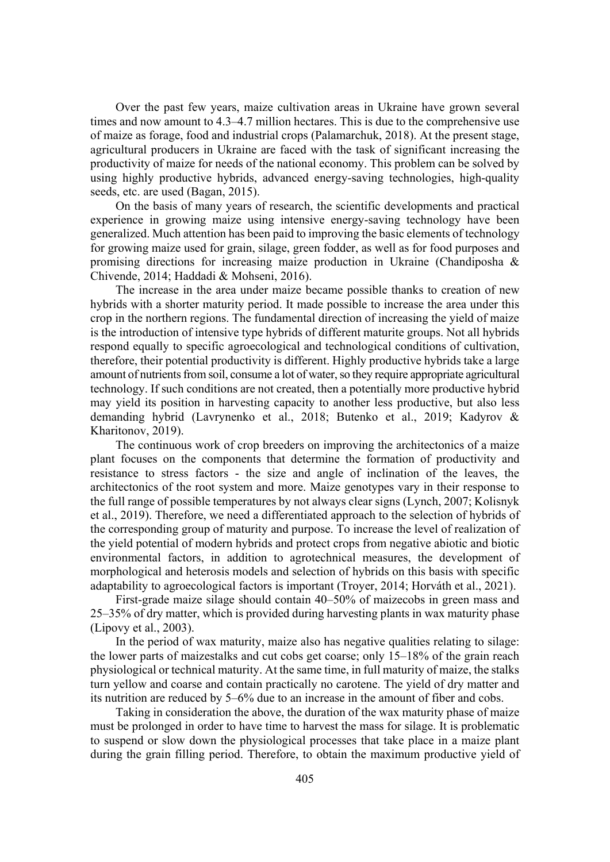Over the past few years, maize cultivation areas in Ukraine have grown several times and now amount to 4.3–4.7 million hectares. This is due to the comprehensive use of maize as forage, food and industrial crops (Palamarchuk, 2018). At the present stage, agricultural producers in Ukraine are faced with the task of significant increasing the productivity of maize for needs of the national economy. This problem can be solved by using highly productive hybrids, advanced energy-saving technologies, high-quality seeds, etc. are used (Bagan, 2015).

On the basis of many years of research, the scientific developments and practical experience in growing maize using intensive energy-saving technology have been generalized. Much attention has been paid to improving the basic elements of technology for growing maize used for grain, silage, green fodder, as well as for food purposes and promising directions for increasing maize production in Ukraine (Chandiposha & Chivende, 2014; Haddadi & Mohseni, 2016).

The increase in the area under maize became possible thanks to creation of new hybrids with a shorter maturity period. It made possible to increase the area under this crop in the northern regions. The fundamental direction of increasing the yield of maize is the introduction of intensive type hybrids of different maturite groups. Not all hybrids respond equally to specific agroecological and technological conditions of cultivation, therefore, their potential productivity is different. Highly productive hybrids take a large amount of nutrients from soil, consume a lot of water, so they require appropriate agricultural technology. If such conditions are not created, then a potentially more productive hybrid may yield its position in harvesting capacity to another less productive, but also less demanding hybrid (Lavrynenko et al., 2018; Butenko et al., 2019; Kadyrov & Kharitonov, 2019).

The continuous work of crop breeders on improving the architectonics of a maize plant focuses on the components that determine the formation of productivity and resistance to stress factors - the size and angle of inclination of the leaves, the architectonics of the root system and more. Maize genotypes vary in their response to the full range of possible temperatures by not always clear signs (Lynch, 2007; Kolisnyk et al., 2019). Therefore, we need a differentiated approach to the selection of hybrids of the corresponding group of maturity and purpose. To increase the level of realization of the yield potential of modern hybrids and protect crops from negative abiotic and biotic environmental factors, in addition to agrotechnical measures, the development of morphological and heterosis models and selection of hybrids on this basis with specific adaptability to agroecological factors is important (Troyer, 2014; Horváth et al., 2021).

First-grade maize silage should contain 40–50% of maizecobs in green mass and 25–35% of dry matter, which is provided during harvesting plants in wax maturity phase (Lipovy et al., 2003).

In the period of wax maturity, maize also has negative qualities relating to silage: the lower parts of maizestalks and cut cobs get coarse; only 15–18% of the grain reach physiological or technical maturity. At the same time, in full maturity of maize, the stalks turn yellow and coarse and contain practically no carotene. The yield of dry matter and its nutrition are reduced by 5–6% due to an increase in the amount of fiber and cobs.

Taking in consideration the above, the duration of the wax maturity phase of maize must be prolonged in order to have time to harvest the mass for silage. It is problematic to suspend or slow down the physiological processes that take place in a maize plant during the grain filling period. Therefore, to obtain the maximum productive yield of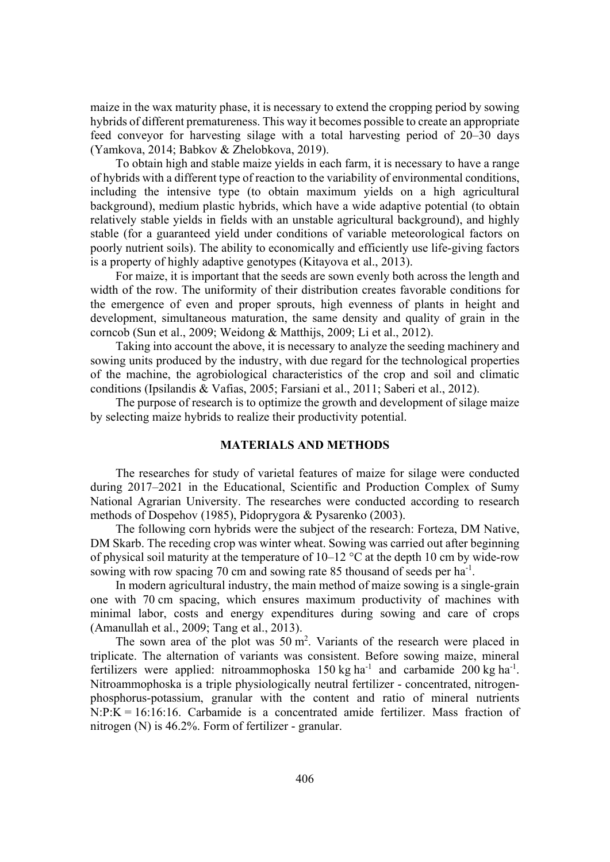maize in the wax maturity phase, it is necessary to extend the cropping period by sowing hybrids of different prematureness. This way it becomes possible to create an appropriate feed conveyor for harvesting silage with a total harvesting period of 20–30 days (Yamkova, 2014; Babkov & Zhelobkova, 2019).

To obtain high and stable maize yields in each farm, it is necessary to have a range of hybrids with a different type of reaction to the variability of environmental conditions, including the intensive type (to obtain maximum yields on a high agricultural background), medium plastic hybrids, which have a wide adaptive potential (to obtain relatively stable yields in fields with an unstable agricultural background), and highly stable (for a guaranteed yield under conditions of variable meteorological factors on poorly nutrient soils). The ability to economically and efficiently use life-giving factors is a property of highly adaptive genotypes (Kitayova et al., 2013).

For maize, it is important that the seeds are sown evenly both across the length and width of the row. The uniformity of their distribution creates favorable conditions for the emergence of even and proper sprouts, high evenness of plants in height and development, simultaneous maturation, the same density and quality of grain in the corncob (Sun et al., 2009; Weidong & Matthijs, 2009; Li et al., 2012).

Taking into account the above, it is necessary to analyze the seeding machinery and sowing units produced by the industry, with due regard for the technological properties of the machine, the agrobiological characteristics of the crop and soil and climatic conditions (Ipsilandis & Vafias, 2005; Farsiani et al., 2011; Saberi et al., 2012).

The purpose of research is to optimize the growth and development of silage maize by selecting maize hybrids to realize their productivity potential.

### **MATERIALS AND METHODS**

The researches for study of varietal features of maize for silage were conducted during 2017–2021 in the Educational, Scientific and Production Complex of Sumy National Agrarian University. The researches were conducted according to research methods of Dospehov (1985), Pidoprygora & Pysarenko (2003).

The following corn hybrids were the subject of the research: Forteza, DM Native, DM Skarb. The receding crop was winter wheat. Sowing was carried out after beginning of physical soil maturity at the temperature of  $10-12$  °C at the depth 10 cm by wide-row sowing with row spacing 70 cm and sowing rate 85 thousand of seeds per ha<sup>-1</sup>.

In modern agricultural industry, the main method of maize sowing is a single-grain one with 70 cm spacing, which ensures maximum productivity of machines with minimal labor, costs and energy expenditures during sowing and care of crops (Amanullah et al., 2009; Tang et al., 2013).

The sown area of the plot was  $50 \text{ m}^2$ . Variants of the research were placed in triplicate. The alternation of variants was consistent. Before sowing maize, mineral fertilizers were applied: nitroammophoska  $150 \text{ kg}$  ha<sup>-1</sup> and carbamide 200 kg ha<sup>-1</sup>. Nitroammophoska is a triple physiologically neutral fertilizer - concentrated, nitrogenphosphorus-potassium, granular with the content and ratio of mineral nutrients  $N:P:K = 16:16:16$ . Carbamide is a concentrated amide fertilizer. Mass fraction of nitrogen (N) is 46.2%. Form of fertilizer - granular.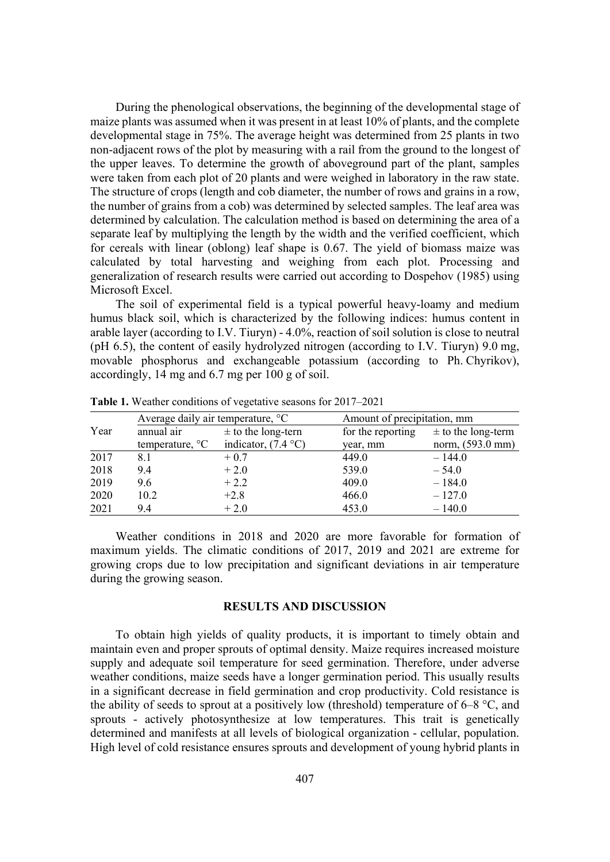During the phenological observations, the beginning of the developmental stage of maize plants was assumed when it was present in at least 10% of plants, and the complete developmental stage in 75%. The average height was determined from 25 plants in two non-adjacent rows of the plot by measuring with a rail from the ground to the longest of the upper leaves. To determine the growth of aboveground part of the plant, samples were taken from each plot of 20 plants and were weighed in laboratory in the raw state. The structure of crops (length and cob diameter, the number of rows and grains in a row, the number of grains from a cob) was determined by selected samples. The leaf area was determined by calculation. The calculation method is based on determining the area of a separate leaf by multiplying the length by the width and the verified coefficient, which for cereals with linear (oblong) leaf shape is 0.67. The yield of biomass maize was calculated by total harvesting and weighing from each plot. Processing and generalization of research results were carried out according to Dospehov (1985) using Microsoft Excel.

The soil of experimental field is a typical powerful heavy-loamy and medium humus black soil, which is characterized by the following indices: humus content in arable layer (according to I.V. Tiuryn) - 4.0%, reaction of soil solution is close to neutral (pH 6.5), the content of easily hydrolyzed nitrogen (according to I.V. Tiuryn) 9.0 mg, movable phosphorus and exchangeable potassium (according to Ph. Chyrikov), accordingly, 14 mg and 6.7 mg per 100 g of soil.

|      | Average daily air temperature, <sup>o</sup> C |                        | Amount of precipitation, mm |                        |
|------|-----------------------------------------------|------------------------|-----------------------------|------------------------|
| Year | annual air                                    | $\pm$ to the long-tern | for the reporting           | $\pm$ to the long-term |
|      | temperature, $^{\circ}C$                      | indicator, $(7.4 °C)$  | year, mm                    | norm, (593.0 mm)       |
| 2017 | 8.1                                           | $+0.7$                 | 449.0                       | $-144.0$               |
| 2018 | 9.4                                           | $+2.0$                 | 539.0                       | $-54.0$                |
| 2019 | 9.6                                           | $+2.2$                 | 409.0                       | $-184.0$               |
| 2020 | 10.2                                          | $+2.8$                 | 466.0                       | $-127.0$               |
| 2021 | 9.4                                           | $+2.0$                 | 453.0                       | $-140.0$               |

**Table 1.** Weather conditions of vegetative seasons for 2017–2021

Weather conditions in 2018 and 2020 are more favorable for formation of maximum yields. The climatic conditions of 2017, 2019 and 2021 are extreme for growing crops due to low precipitation and significant deviations in air temperature during the growing season.

## **RESULTS AND DISCUSSION**

To obtain high yields of quality products, it is important to timely obtain and maintain even and proper sprouts of optimal density. Maize requires increased moisture supply and adequate soil temperature for seed germination. Therefore, under adverse weather conditions, maize seeds have a longer germination period. This usually results in a significant decrease in field germination and crop productivity. Cold resistance is the ability of seeds to sprout at a positively low (threshold) temperature of  $6-8$  °C, and sprouts - actively photosynthesize at low temperatures. This trait is genetically determined and manifests at all levels of biological organization - cellular, population. High level of cold resistance ensures sprouts and development of young hybrid plants in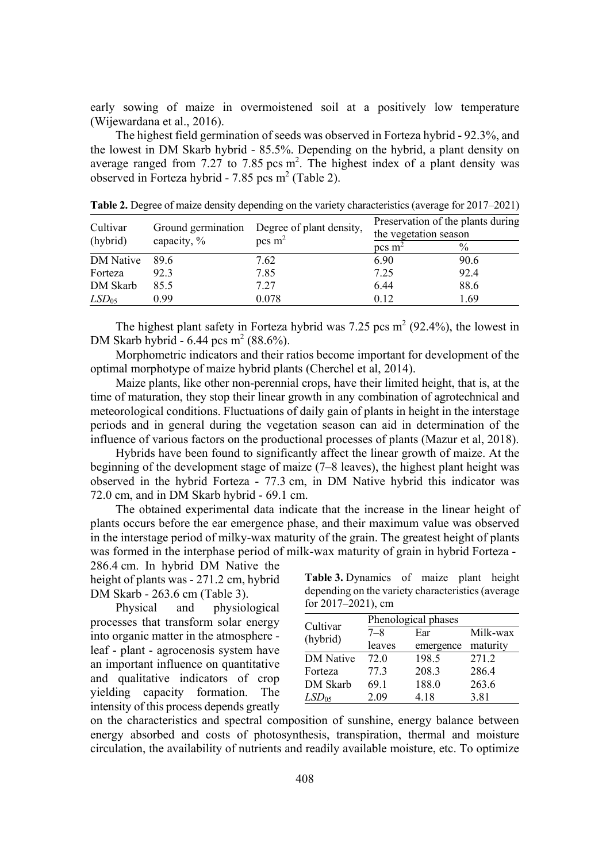early sowing of maize in overmoistened soil at a positively low temperature (Wijewardana et al., 2016).

The highest field germination of seeds was observed in Forteza hybrid - 92.3%, and the lowest in DM Skarb hybrid - 85.5%. Depending on the hybrid, a plant density on average ranged from 7.27 to 7.85 pcs  $m<sup>2</sup>$ . The highest index of a plant density was observed in Forteza hybrid - 7.85 pcs m<sup>2</sup> (Table 2).

| Cultivar<br>(hybrid) | Ground germination<br>capacity, % | Degree of plant density,<br>pcs $m2$ | Preservation of the plants during<br>the vegetation season |               |
|----------------------|-----------------------------------|--------------------------------------|------------------------------------------------------------|---------------|
|                      |                                   |                                      | pcs $m2$                                                   | $\frac{0}{0}$ |
| <b>DM</b> Native     | 89.6                              | 7.62                                 | 6.90                                                       | 90.6          |
| Forteza              | 92.3                              | 7.85                                 | 7.25                                                       | 92.4          |
| DM Skarb             | 85.5                              | 7.27                                 | 6.44                                                       | 88.6          |
| LSD <sub>05</sub>    | 0.99                              | 0.078                                | 0.12                                                       | 1.69          |

**Table 2.** Degree of maize density depending on the variety characteristics (average for 2017–2021)

The highest plant safety in Forteza hybrid was 7.25 pcs  $m<sup>2</sup>$  (92.4%), the lowest in DM Skarb hybrid - 6.44 pcs m<sup>2</sup> (88.6%).

Morphometric indicators and their ratios become important for development of the optimal morphotype of maize hybrid plants (Cherchel et al, 2014).

Maize plants, like other non-perennial crops, have their limited height, that is, at the time of maturation, they stop their linear growth in any combination of agrotechnical and meteorological conditions. Fluctuations of daily gain of plants in height in the interstage periods and in general during the vegetation season can aid in determination of the influence of various factors on the productional processes of plants (Mazur et al, 2018).

Hybrids have been found to significantly affect the linear growth of maize. At the beginning of the development stage of maize (7–8 leaves), the highest plant height was observed in the hybrid Forteza - 77.3 cm, in DM Native hybrid this indicator was 72.0 cm, and in DM Skarb hybrid - 69.1 cm.

The obtained experimental data indicate that the increase in the linear height of plants occurs before the ear emergence phase, and their maximum value was observed in the interstage period of milky-wax maturity of the grain. The greatest height of plants was formed in the interphase period of milk-wax maturity of grain in hybrid Forteza -

286.4 cm. In hybrid DM Native the height of plants was - 271.2 cm, hybrid DM Skarb - 263.6 cm (Table 3).

Physical and physiological processes that transform solar energy into organic matter in the atmosphere leaf - plant - agrocenosis system have an important influence on quantitative and qualitative indicators of crop yielding capacity formation. The intensity of this process depends greatly

**Table 3.** Dynamics of maize plant height depending on the variety characteristics (average for 2017–2021), cm

| Cultivar          | Phenological phases |           |          |  |  |
|-------------------|---------------------|-----------|----------|--|--|
|                   | $7 - 8$             | Ear       | Milk-wax |  |  |
| (hybrid)          | leaves              | emergence | maturity |  |  |
| <b>DM</b> Native  | 72.0                | 198.5     | 271.2    |  |  |
| Forteza           | 77.3                | 208.3     | 286.4    |  |  |
| DM Skarb          | 69.1                | 188.0     | 263.6    |  |  |
| LSD <sub>05</sub> | 2.09                | 4.18      | 3.81     |  |  |

on the characteristics and spectral composition of sunshine, energy balance between energy absorbed and costs of photosynthesis, transpiration, thermal and moisture circulation, the availability of nutrients and readily available moisture, etc. To optimize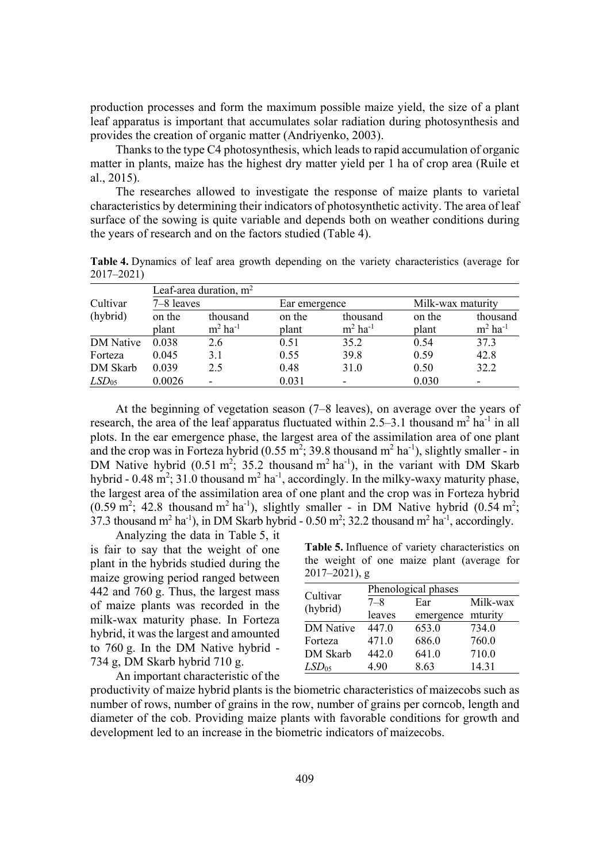production processes and form the maximum possible maize yield, the size of a plant leaf apparatus is important that accumulates solar radiation during photosynthesis and provides the creation of organic matter (Andriyenko, 2003).

Thanks to the type C4 photosynthesis, which leads to rapid accumulation of organic matter in plants, maize has the highest dry matter yield per 1 ha of crop area (Ruile et al., 2015).

The researches allowed to investigate the response of maize plants to varietal characteristics by determining their indicators of photosynthetic activity. The area of leaf surface of the sowing is quite variable and depends both on weather conditions during the years of research and on the factors studied (Table 4).

**Table 4.** Dynamics of leaf area growth depending on the variety characteristics (average for 2017–2021)

|                   | Leaf-area duration, $m2$ |                       |        |                       |        |                       |  |
|-------------------|--------------------------|-----------------------|--------|-----------------------|--------|-----------------------|--|
| Cultivar          | 7–8 leaves               |                       |        | Ear emergence         |        | Milk-wax maturity     |  |
| (hybrid)          | on the                   | thousand              | on the | thousand              | on the | thousand              |  |
|                   | plant                    | $m2$ ha <sup>-1</sup> | plant  | $m2$ ha <sup>-1</sup> | plant  | $m2$ ha <sup>-1</sup> |  |
| DM Native         | 0.038                    | 2.6                   | 0.51   | 35.2                  | 0.54   | 37.3                  |  |
| Forteza           | 0.045                    | 3.1                   | 0.55   | 39.8                  | 0.59   | 42.8                  |  |
| DM Skarb          | 0.039                    | 2.5                   | 0.48   | 31.0                  | 0.50   | 32.2                  |  |
| LSD <sub>05</sub> | 0.0026                   |                       | 0.031  | ۰                     | 0.030  |                       |  |

At the beginning of vegetation season (7–8 leaves), on average over the years of research, the area of the leaf apparatus fluctuated within 2.5–3.1 thousand  $m^2$  ha<sup>-1</sup> in all plots. In the ear emergence phase, the largest area of the assimilation area of one plant and the crop was in Forteza hybrid (0.55 m<sup>2</sup>; 39.8 thousand m<sup>2</sup> ha<sup>-1</sup>), slightly smaller - in DM Native hybrid (0.51 m<sup>2</sup>; 35.2 thousand m<sup>2</sup> ha<sup>-1</sup>), in the variant with DM Skarb hybrid - 0.48 m<sup>2</sup>; 31.0 thousand m<sup>2</sup> ha<sup>-1</sup>, accordingly. In the milky-waxy maturity phase, the largest area of the assimilation area of one plant and the crop was in Forteza hybrid  $(0.59 \text{ m}^2; 42.8 \text{ thousand m}^2 \text{ ha}^{-1})$ , slightly smaller - in DM Native hybrid  $(0.54 \text{ m}^2;$ 37.3 thousand m<sup>2</sup> ha<sup>-1</sup>), in DM Skarb hybrid - 0.50 m<sup>2</sup>; 32.2 thousand m<sup>2</sup> ha<sup>-1</sup>, accordingly.

Analyzing the data in Table 5, it is fair to say that the weight of one plant in the hybrids studied during the maize growing period ranged between 442 and 760 g. Thus, the largest mass of maize plants was recorded in the milk-wax maturity phase. In Forteza hybrid, it was the largest and amounted to 760 g. In the DM Native hybrid - 734 g, DM Skarb hybrid 710 g. An important characteristic of the

**Table 5.** Influence of variety characteristics on the weight of one maize plant (average for 2017–2021), g

| Cultivar          | Phenological phases |                   |          |  |
|-------------------|---------------------|-------------------|----------|--|
| (hybrid)          | $7 - 8$             | Ear               | Milk-wax |  |
|                   | leaves              | emergence mturity |          |  |
| <b>DM</b> Native  | 447.0               | 653.0             | 734.0    |  |
| Forteza           | 471.0               | 686.0             | 760.0    |  |
| DM Skarb          | 442.0               | 641.0             | 710.0    |  |
| LSD <sub>05</sub> | 4.90                | 8.63              | 14.31    |  |

productivity of maize hybrid plants is the biometric characteristics of maizecobs such as number of rows, number of grains in the row, number of grains per corncob, length and diameter of the cob. Providing maize plants with favorable conditions for growth and development led to an increase in the biometric indicators of maizecobs.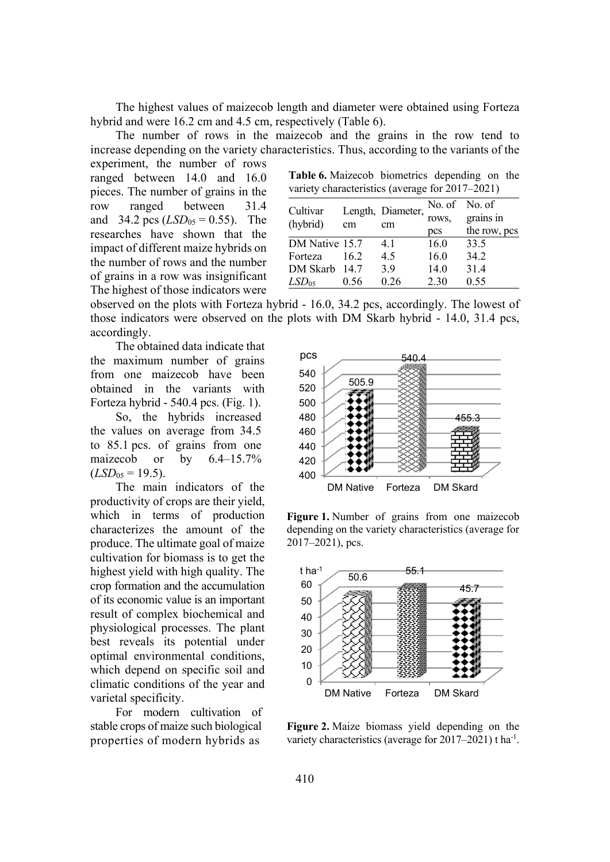The highest values of maizecob length and diameter were obtained using Forteza hybrid and were 16.2 cm and 4.5 cm, respectively (Table 6).

The number of rows in the maizecob and the grains in the row tend to increase depending on the variety characteristics. Thus, according to the variants of the

experiment, the number of rows ranged between 14.0 and 16.0 pieces. The number of grains in the row ranged between 31.4 and 34.2 pcs  $(LSD_{05} = 0.55)$ . The researches have shown that the impact of different maize hybrids on the number of rows and the number of grains in a row was insignificant The highest of those indicators were

**Table 6.** Maizecob biometrics depending on the variety characteristics (average for 2017–2021)

| Cultivar          |      | Length, Diameter, | No. of No. of |              |
|-------------------|------|-------------------|---------------|--------------|
| (hybrid)          |      | cm                | rows,         | grains in    |
|                   | cm   |                   | pcs           | the row, pcs |
| DM Native 15.7    |      | 4.1               | 16.0          | 33.5         |
| Forteza           | 16.2 | 4.5               | 16.0          | 34.2         |
| DM Skarb 14.7     |      | 3.9               | 14.0          | 31.4         |
| LSD <sub>05</sub> | 0.56 | 0.26              | 2.30          | 0.55         |

observed on the plots with Forteza hybrid - 16.0, 34.2 pcs, accordingly. The lowest of those indicators were observed on the plots with DM Skarb hybrid - 14.0, 31.4 pcs, accordingly.

The obtained data indicate that the maximum number of grains from one maizecob have been obtained in the variants with Forteza hybrid - 540.4 pcs. (Fig. 1).

So, the hybrids increased the values on average from 34.5 to 85.1 pcs. of grains from one maizecob or by 6.4–15.7%  $(LSD<sub>05</sub> = 19.5).$ 

The main indicators of the productivity of crops are their yield, which in terms of production characterizes the amount of the produce. The ultimate goal of maize cultivation for biomass is to get the highest yield with high quality. The crop formation and the accumulation of its economic value is an important result of complex biochemical and physiological processes. The plant best reveals its potential under optimal environmental conditions, which depend on specific soil and climatic conditions of the year and varietal specificity.

For modern cultivation of stable crops of maize such biological properties of modern hybrids as



**Figure 1.** Number of grains from one maizecob depending on the variety characteristics (average for 2017–2021), pcs.



**Figure 2.** Maize biomass yield depending on the variety characteristics (average for 2017-2021) t ha<sup>-1</sup>.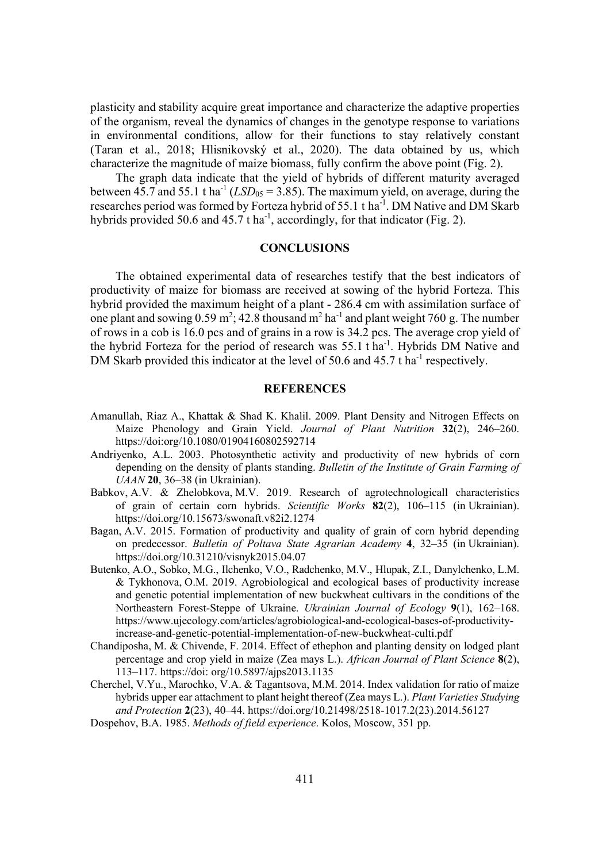plasticity and stability acquire great importance and characterize the adaptive properties of the organism, reveal the dynamics of changes in the genotype response to variations in environmental conditions, allow for their functions to stay relatively constant (Taran et al., 2018; Hlisnikovský et al., 2020). The data obtained by us, which characterize the magnitude of maize biomass, fully confirm the above point (Fig. 2).

The graph data indicate that the yield of hybrids of different maturity averaged between  $45.7$  and  $55.1$  t ha<sup>-1</sup> ( $LSD<sub>05</sub> = 3.85$ ). The maximum yield, on average, during the researches period was formed by Forteza hybrid of 55.1 t ha<sup>-1</sup>. DM Native and DM Skarb hybrids provided 50.6 and 45.7 t ha<sup>-1</sup>, accordingly, for that indicator (Fig. 2).

### **CONCLUSIONS**

The obtained experimental data of researches testify that the best indicators of productivity of maize for biomass are received at sowing of the hybrid Forteza. This hybrid provided the maximum height of a plant - 286.4 cm with assimilation surface of one plant and sowing 0.59 m<sup>2</sup>; 42.8 thousand m<sup>2</sup> ha<sup>-1</sup> and plant weight 760 g. The number of rows in a cob is 16.0 pcs and of grains in a row is 34.2 pcs. The average crop yield of the hybrid Forteza for the period of research was 55.1 t ha<sup>-1</sup>. Hybrids DM Native and DM Skarb provided this indicator at the level of 50.6 and 45.7 t ha<sup>-1</sup> respectively.

# **REFERENCES**

- Amanullah, Riaz A., Khattak & Shad K. Khalil. 2009. Plant Density and Nitrogen Effects on Maize Phenology and Grain Yield. *Journal of Plant Nutrition* 32(2), 246–260. https://doi:org/10.1080/01904160802592714
- Andriyenko, A.L. 2003. Photosynthetic activity and productivity of new hybrids of corn depending on the density of plants standing. *Bulletin of the Institute of Grain Farming of UAAN* **20**, 36–38 (in Ukrainian).
- Babkov, A.V. & Zhelobkova, M.V. 2019. Research of agrotechnologicall characteristics of grain of certain corn hybrids. *Scientific Works* 82(2), 106–115 (in Ukrainian). https://doi.org/10.15673/swonaft.v82i2.1274
- Bagan, A.V. 2015. Formation of productivity and quality of grain of corn hybrid depending on predecessor. *Bulletin of Poltava State Agrarian Academy* 4, 32–35 (in Ukrainian). https://doi.org/10.31210/visnyk2015.04.07
- Butenko, A.O., Sobko, M.G., Ilchenko, V.O., Radchenko, M.V., Hlupak, Z.I., Danylchenko, L.M. & Tykhonova, O.M. 2019. Agrobiological and ecological bases of productivity increase and genetic potential implementation of new buckwheat cultivars in the conditions of the Northeastern Forest-Steppe of Ukraine. *Ukrainian Journal of Ecology* 9(1), 162–168. https://www.ujecology.com/articles/agrobiological-and-ecological-bases-of-productivityincrease-and-genetic-potential-implementation-of-new-buckwheat-culti.pdf
- Chandiposha, M. & Chivende, F. 2014. Effect of ethephon and planting density on lodged plant percentage and crop yield in maize (Zea mays L.). *African Journal of Plant Science* 8(2), 113–117. https://doi: org/10.5897/ajps2013.1135
- Cherchel, V.Yu., Marochko, V.A. & Tagantsova, M.M. 2014. Index validation for ratio of maize hybrids upper ear attachment to plant height thereof (Zea mays L.). *Plant Varieties Studying* and Protection 2(23), 40–44. https://doi.org/10.21498/2518-1017.2(23).2014.56127
- Dospehov, B.A. 1985. *Methods of field experience*. Kolos, Moscow, 351 pp.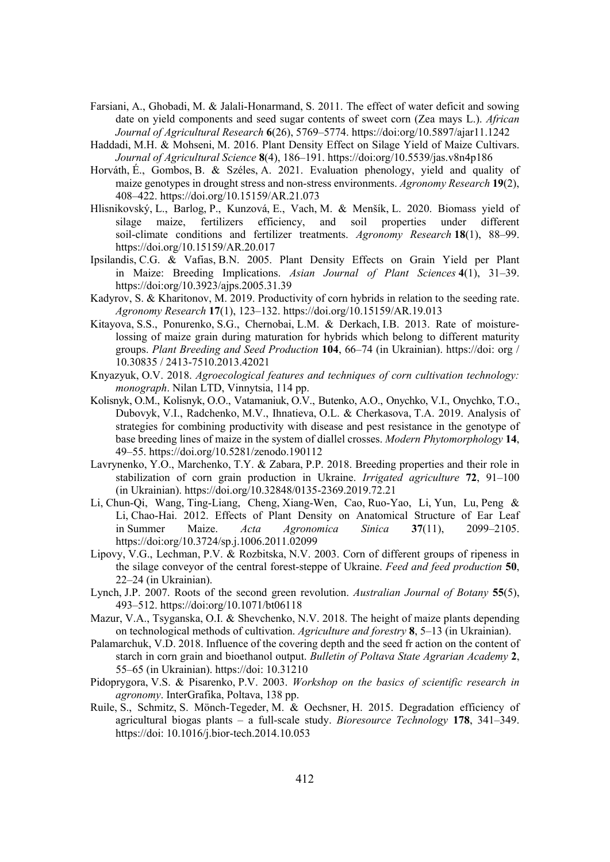- Farsiani, A., Ghobadi, M. & Jalali-Honarmand, S. 2011. The effect of water deficit and sowing date on yield components and seed sugar contents of sweet corn (Zea mays L.). *African Journal of Agricultural Research* 6(26), 5769–5774. https://doi:org/10.5897/ajar11.1242
- Haddadi, M.H. & Mohseni, M. 2016. Plant Density Effect on Silage Yield of Maize Cultivars. *Journal of Agricultural Science* 8(4), 186–191. https://doi.org/10.5539/jas.v8n4p186
- Horváth, É., Gombos, B. & Széles, A. 2021. Evaluation phenology, yield and quality of maize genotypes in drought stress and non-stress environments. *Agronomy Research* **19**(2), 408–422. https://doi.org/10.15159/AR.21.073
- Hlisnikovský, L., Barlog, P., Kunzová, E., Vach, M. & Menšík, L. 2020. Biomass yield of silage maize, fertilizers efficiency, and soil properties under different soil-climate conditions and fertilizer treatments. *Agronomy Research* **18**(1), 88–99. https://doi.org/10.15159/AR.20.017
- Ipsilandis, C.G. & Vafias, B.N. 2005. Plant Density Effects on Grain Yield per Plant in Maize: Breeding Implications. *Asian Journal of Plant Sciences* 4(1), 31–39. https://doi:org/10.3923/ajps.2005.31.39
- Kadyrov, S. & Kharitonov, M. 2019. Productivity of corn hybrids in relation to the seeding rate. *Agronomy Research* **17**(1), 123–132. https://doi.org/10.15159/AR.19.013
- Kitayova, S.S., Ponurenko, S.G., Chernobai, L.M. & Derkach, I.B. 2013. Rate of moisturelossing of maize grain during maturation for hybrids which belong to different maturity groups. *Plant Breeding and Seed Production* 104, 66–74 (in Ukrainian). https://doi: org / 10.30835 / 2413-7510.2013.42021
- Knyazyuk, O.V. 2018. *Agroecological features and techniques of corn cultivation technology*: *monograph*. Nilan LTD, Vinnytsia, 114 pp.
- Kolisnyk, O.M., Kolisnyk, O.O., Vatamaniuk, O.V., Butenko, A.O., Onychko, V.I., Onychko, T.O., Dubovyk, V.I., Radchenko, M.V., Ihnatieva, O.L. & Cherkasova, T.A. 2019. Analysis of strategies for combining productivity with disease and pest resistance in the genotype of base breeding lines of maize in the system of diallel crosses. *Modern Phytomorphology* 14, 49–55. https://doi.org/10.5281/zenodo.190112
- Lavrynenko, Y.O., Marchenko, T.Y. & Zabara, P.P. 2018. Breeding properties and their role in stabilization of corn grain production in Ukraine. *Irrigated agriculture* 72, 91–100 (in Ukrainian). https://doi.org/10.32848/0135-2369.2019.72.21
- Li, Chun-Qi, Wang, Ting-Liang, Cheng, Xiang-Wen, Cao, Ruo-Yao, Li, Yun, Lu, Peng & Li, Chao-Hai. 2012. Effects of Plant Density on Anatomical Structure of Ear Leaf in Summer Maize. *Acta Agronomica Sinica* 37(11), 2099–2105. https://doi:org/10.3724/sp.j.1006.2011.02099
- Lipovy, V.G., Lechman, P.V. & Rozbitska, N.V. 2003. Corn of different groups of ripeness in the silage conveyor of the central forest-steppe of Ukraine. *Feed and feed production* 50, 22–24 (in Ukrainian).
- Lynch, J.P. 2007. Roots of the second green revolution. *Australian Journal of Botany* 55(5), 493–512. https://doi:org/10.1071/bt06118
- Mazur, V.A., Tsyganska, O.I. & Shevchenko, N.V. 2018. The height of maize plants depending on technological methods of cultivation. *Agriculture and forestry* 8, 5–13 (in Ukrainian).
- Palamarchuk, V.D. 2018. Influence of the covering depth and the seed fr action on the content of starch in corn grain and bioethanol output. *Bulletin of Poltava State Agrarian Academy* 2, 55–65 (in Ukrainian). https://doi: 10.31210
- Pidoprygora, V.S. & Pisarenko, P.V. 2003. *Workshop on the basics of scientific research in agronomy*. InterGrafika, Poltava, 138 pp.
- Ruile, S., Schmitz, S. Mönch-Tegeder, M. & Oechsner, H. 2015. Degradation efficiency of agricultural biogas plants – a full-scale study. *Bioresource Technology* **178**, 341–349. https://doi: 10.1016/j.bior-tech.2014.10.053